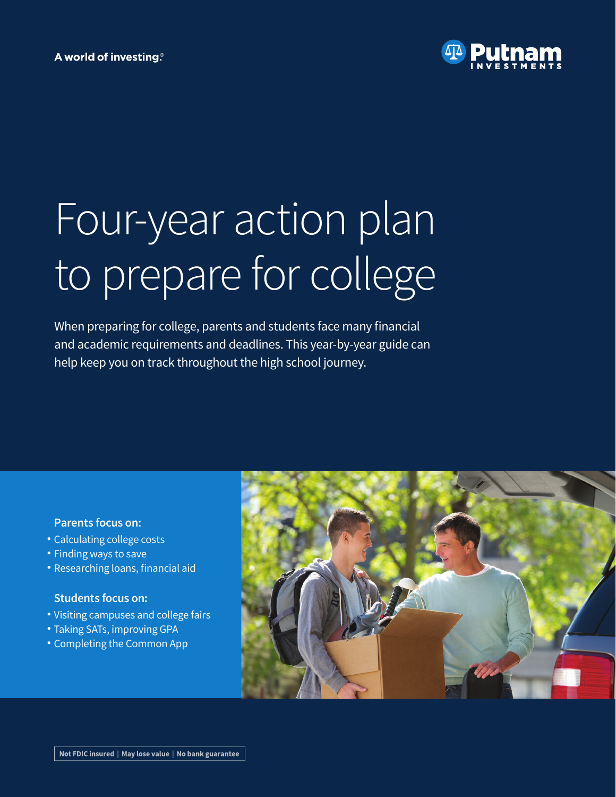# A world of investing<sup>®</sup>



# Four-year action plan to prepare for college

When preparing for college, parents and students face many financial and academic requirements and deadlines. This year-by-year guide can help keep you on track throughout the high school journey.

# **Parents focus on:**

- Calculating college costs •
- Finding ways to save
- Researching loans, financial aid

# **Students focus on:**

- Visiting campuses and college fairs •
- Taking SATs, improving GPA
- Completing the Common App •

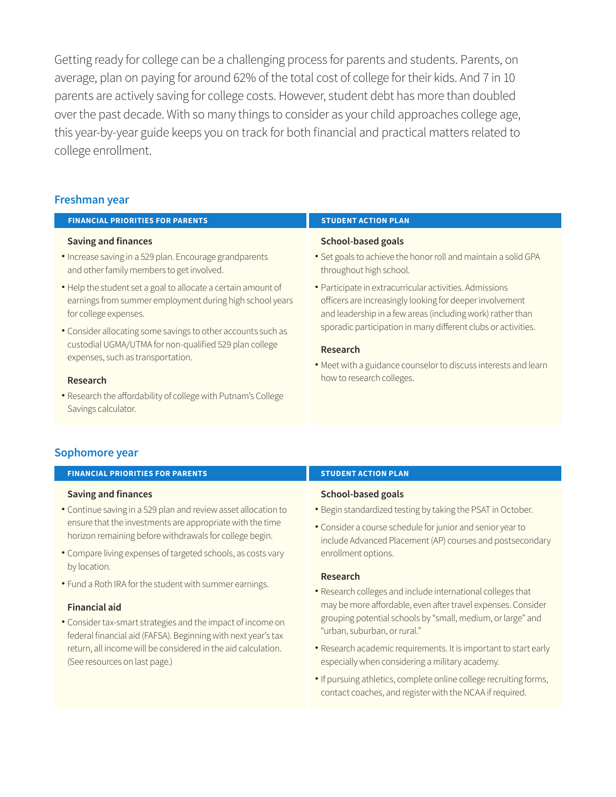Getting ready for college can be a challenging process for parents and students. Parents, on average, plan on paying for around 62% of the total cost of college for their kids. And 7 in 10 parents are actively saving for college costs. However, student debt has more than doubled over the past decade. With so many things to consider as your child approaches college age, this year-by-year guide keeps you on track for both financial and practical matters related to college enrollment.

# **Freshman year**

#### **FINANCIAL PRIORITIES FOR PARENTS STUDENT ACTION PLAN Saving and finances** • Increase saving in a 529 plan. Encourage grandparents and other family members to get involved. Help the student set a goal to allocate a certain amount of • earnings from summer employment during high school years for college expenses. Consider allocating some savings to other accounts such as • custodial UGMA/UTMA for non-qualified 529 plan college expenses, such as transportation. **Research School-based goals** • Set goals to achieve the honor roll and maintain a solid GPA throughout high school. Participate in extracurricular activities. Admissions • officers are increasingly looking for deeper involvement and leadership in a few areas (including work) rather than sporadic participation in many different clubs or activities. **Research**  • Meet with a guidance counselor to discuss interests and learn how to research colleges.

Research the affordability of college with Putnam's College • Savings calculator.

# **Sophomore year**

#### **FINANCIAL PRIORITIES FOR PARENTS STUDENT ACTION PLAN**

#### **Saving and finances**

- Continue saving in a 529 plan and review asset allocation to ensure that the investments are appropriate with the time horizon remaining before withdrawals for college begin.
- Compare living expenses of targeted schools, as costs vary by location.
- Fund a Roth IRA for the student with summer earnings. •

#### **Financial aid**

Consider tax-smart strategies and the impact of income on • federal financial aid (FAFSA). Beginning with next year's tax return, all income will be considered in the aid calculation. (See resources on last page.)

#### **School-based goals**

- Begin standardized testing by taking the PSAT in October.
- Consider a course schedule for junior and senior year to include Advanced Placement (AP) courses and postsecondary enrollment options.

#### **Research**

- Research colleges and include international colleges that may be more affordable, even after travel expenses. Consider grouping potential schools by "small, medium, or large" and "urban, suburban, or rural."
- Research academic requirements. It is important to start early especially when considering a military academy.
- If pursuing athletics, complete online college recruiting forms, contact coaches, and register with the NCAA if required.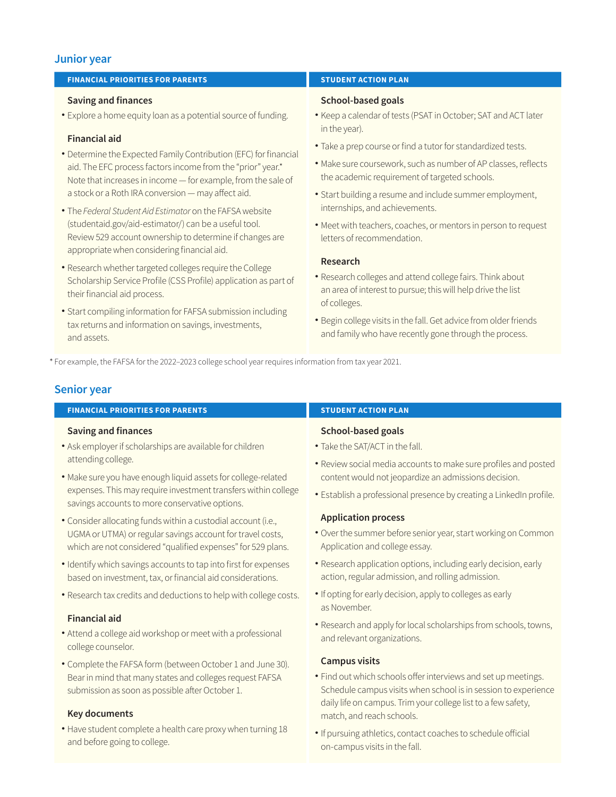# **Junior year**

#### **FINANCIAL PRIORITIES FOR PARENTS STUDENT ACTION PLAN**

#### **Saving and finances**

Explore a home equity loan as a potential source of funding. •

### **Financial aid**

- Determine the Expected Family Contribution (EFC) for financial aid. The EFC process factors income from the "prior" year.\* Note that increases in income — for example, from the sale of a stock or a Roth IRA conversion — may affect aid.
- The • *Federal Student Aid Estimator* on the FAFSA website (studentaid.gov/aid-estimator/) can be a useful tool. Review 529 account ownership to determine if changes are appropriate when considering financial aid.
- Research whether targeted colleges require the College Scholarship Service Profile (CSS Profile) application as part of their financial aid process.
- Start compiling information for FAFSA submission including tax returns and information on savings, investments, and assets.

#### **School-based goals**

- Keep a calendar of tests (PSAT in October; SAT and ACT later in the year).
- Take a prep course or find a tutor for standardized tests. •
- Make sure coursework, such as number of AP classes, reflects the academic requirement of targeted schools.
- Start building a resume and include summer employment, internships, and achievements.
- Meet with teachers, coaches, or mentors in person to request letters of recommendation.

#### **Research**

- Research colleges and attend college fairs. Think about an area of interest to pursue; this will help drive the list of colleges.
- Begin college visits in the fall. Get advice from older friends and family who have recently gone through the process.

\* For example, the FAFSA for the 2022-2023 college school year requires information from tax year 2021.

## **Senior year**

#### **FINANCIAL PRIORITIES FOR PARENTS STUDENT ACTION PLAN Saving and finances** Ask employer if scholarships are available for children • attending college. Make sure you have enough liquid assets for college-related • **School-based goals** • Take the SAT/ACT in the fall. Review social media accounts to make sure profiles and posted • content would not jeopardize an admissions decision.

Establish a professional presence by creating a LinkedIn profile. •

#### **Application process**

- Over the summer before senior year, start working on Common Application and college essay.
- Research application options, including early decision, early action, regular admission, and rolling admission.
- If opting for early decision, apply to colleges as early as November.
- Research and apply for local scholarships from schools, towns, and relevant organizations.

#### **Campus visits**

- Find out which schools offer interviews and set up meetings. Schedule campus visits when school is in session to experience daily life on campus. Trim your college list to a few safety, match, and reach schools.
- If pursuing athletics, contact coaches to schedule official on-campus visits in the fall.
- expenses. This may require investment transfers within college savings accounts to more conservative options.
- Consider allocating funds within a custodial account (i.e., UGMA or UTMA) or regular savings account for travel costs, which are not considered "qualified expenses" for 529 plans.
- Identify which savings accounts to tap into first for expenses based on investment, tax, or financial aid considerations.
- Research tax credits and deductions to help with college costs. •

#### **Financial aid**

- Attend a college aid workshop or meet with a professional college counselor.
- Complete the FAFSA form (between October 1 and June 30). Bear in mind that many states and colleges request FAFSA submission as soon as possible after October 1.

#### **Key documents**

Have student complete a health care proxy when turning 18 • and before going to college.